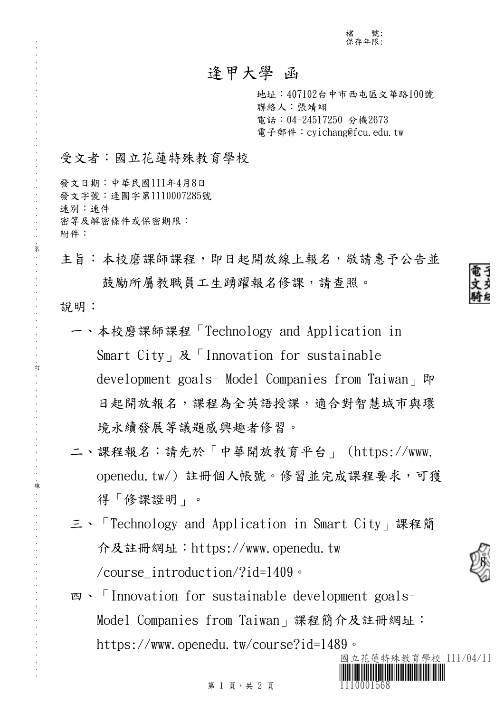檔 號: 保存年限:

## 逢甲大學 函

地址:407102台中市西屯區文華路100號 聯絡人:張靖翊 電話:04-24517250 分機2673 電子郵件: cyichang@fcu.edu.tw

## 受文者:國立花蓮特殊教育學校

發文日期:中華民國111年4月8日 發文字號:逢圖字第1110007285號 速別:速件 密等及解密條件或保密期限: 附件:

主旨:本校磨課師課程,即日起開放線上報名,敬請惠予公告並 鼓勵所屬教職員工生踴躍報名修課,請查照。

說明:

. . . . . . . . . . . . . . . . . . . . . . . . . . . . . . 裝 . . . . . . . . . . . . . . . . 訂 . . . . . . . . . . . . . . . . 線 . . . . . . . . . . . . . . . . . . . . . . . . . . .

- 一、本校磨課師課程「Technology and Application in Smart City」及「Innovation for sustainable development goals- Model Companies from Taiwan, 即 日起開放報名,課程為全英語授課,適合對智慧城市與環 境永續發展等議題感興趣者修習。
- 二、課程報名:請先於「中華開放教育平台」 (https://www. openedu.tw/) 註冊個人帳號。修習並完成課程要求,可獲 得「修課證明」。
- 三、「Technology and Application in Smart City」課程簡 介及註冊網址:https://www.openedu.tw /course\_introduction/?id=1409。
- 四、「Innovation for sustainable development goals-Model Companies from Taiwan」課程簡介及註冊網址: https://www.openedu.tw/course?id=1489。



8